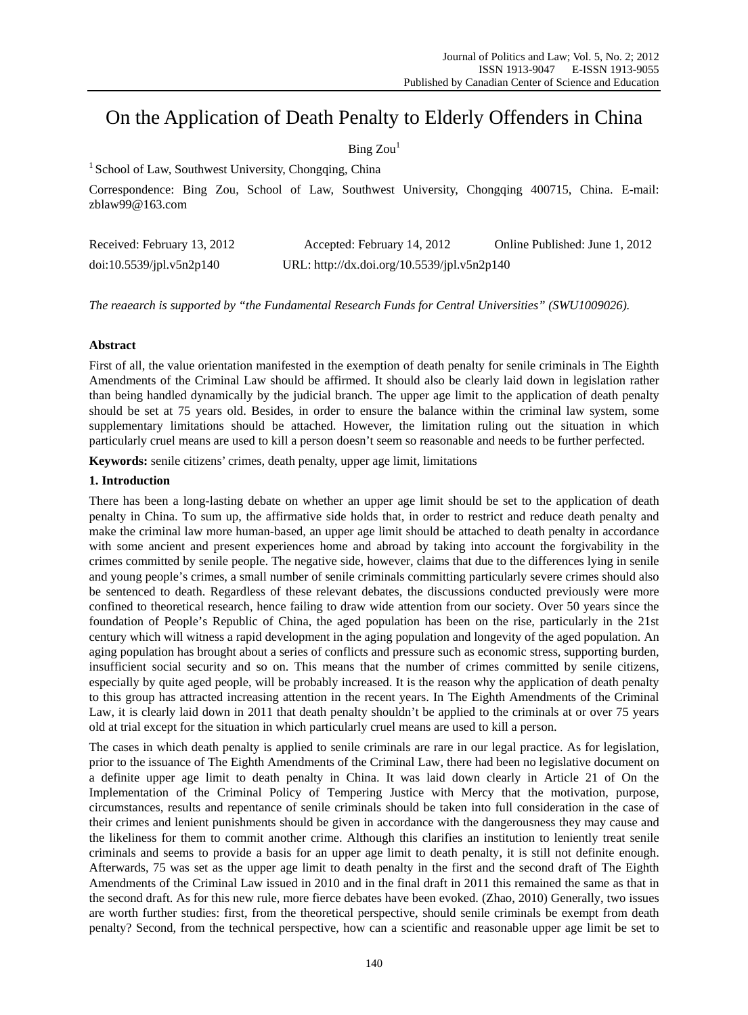# On the Application of Death Penalty to Elderly Offenders in China

# Bing Zou<sup>1</sup>

 $1$  School of Law, Southwest University, Chongqing, China

Correspondence: Bing Zou, School of Law, Southwest University, Chongqing 400715, China. E-mail: zblaw99@163.com

| Received: February 13, 2012 | Accepted: February 14, 2012                 | Online Published: June 1, 2012 |
|-----------------------------|---------------------------------------------|--------------------------------|
| doi:10.5539/ipl.v5n2p140    | URL: http://dx.doi.org/10.5539/jpl.v5n2p140 |                                |

*The reaearch is supported by "the Fundamental Research Funds for Central Universities" (SWU1009026).* 

## **Abstract**

First of all, the value orientation manifested in the exemption of death penalty for senile criminals in The Eighth Amendments of the Criminal Law should be affirmed. It should also be clearly laid down in legislation rather than being handled dynamically by the judicial branch. The upper age limit to the application of death penalty should be set at 75 years old. Besides, in order to ensure the balance within the criminal law system, some supplementary limitations should be attached. However, the limitation ruling out the situation in which particularly cruel means are used to kill a person doesn't seem so reasonable and needs to be further perfected.

**Keywords:** senile citizens' crimes, death penalty, upper age limit, limitations

# **1. Introduction**

There has been a long-lasting debate on whether an upper age limit should be set to the application of death penalty in China. To sum up, the affirmative side holds that, in order to restrict and reduce death penalty and make the criminal law more human-based, an upper age limit should be attached to death penalty in accordance with some ancient and present experiences home and abroad by taking into account the forgivability in the crimes committed by senile people. The negative side, however, claims that due to the differences lying in senile and young people's crimes, a small number of senile criminals committing particularly severe crimes should also be sentenced to death. Regardless of these relevant debates, the discussions conducted previously were more confined to theoretical research, hence failing to draw wide attention from our society. Over 50 years since the foundation of People's Republic of China, the aged population has been on the rise, particularly in the 21st century which will witness a rapid development in the aging population and longevity of the aged population. An aging population has brought about a series of conflicts and pressure such as economic stress, supporting burden, insufficient social security and so on. This means that the number of crimes committed by senile citizens, especially by quite aged people, will be probably increased. It is the reason why the application of death penalty to this group has attracted increasing attention in the recent years. In The Eighth Amendments of the Criminal Law, it is clearly laid down in 2011 that death penalty shouldn't be applied to the criminals at or over 75 years old at trial except for the situation in which particularly cruel means are used to kill a person.

The cases in which death penalty is applied to senile criminals are rare in our legal practice. As for legislation, prior to the issuance of The Eighth Amendments of the Criminal Law, there had been no legislative document on a definite upper age limit to death penalty in China. It was laid down clearly in Article 21 of On the Implementation of the Criminal Policy of Tempering Justice with Mercy that the motivation, purpose, circumstances, results and repentance of senile criminals should be taken into full consideration in the case of their crimes and lenient punishments should be given in accordance with the dangerousness they may cause and the likeliness for them to commit another crime. Although this clarifies an institution to leniently treat senile criminals and seems to provide a basis for an upper age limit to death penalty, it is still not definite enough. Afterwards, 75 was set as the upper age limit to death penalty in the first and the second draft of The Eighth Amendments of the Criminal Law issued in 2010 and in the final draft in 2011 this remained the same as that in the second draft. As for this new rule, more fierce debates have been evoked. (Zhao, 2010) Generally, two issues are worth further studies: first, from the theoretical perspective, should senile criminals be exempt from death penalty? Second, from the technical perspective, how can a scientific and reasonable upper age limit be set to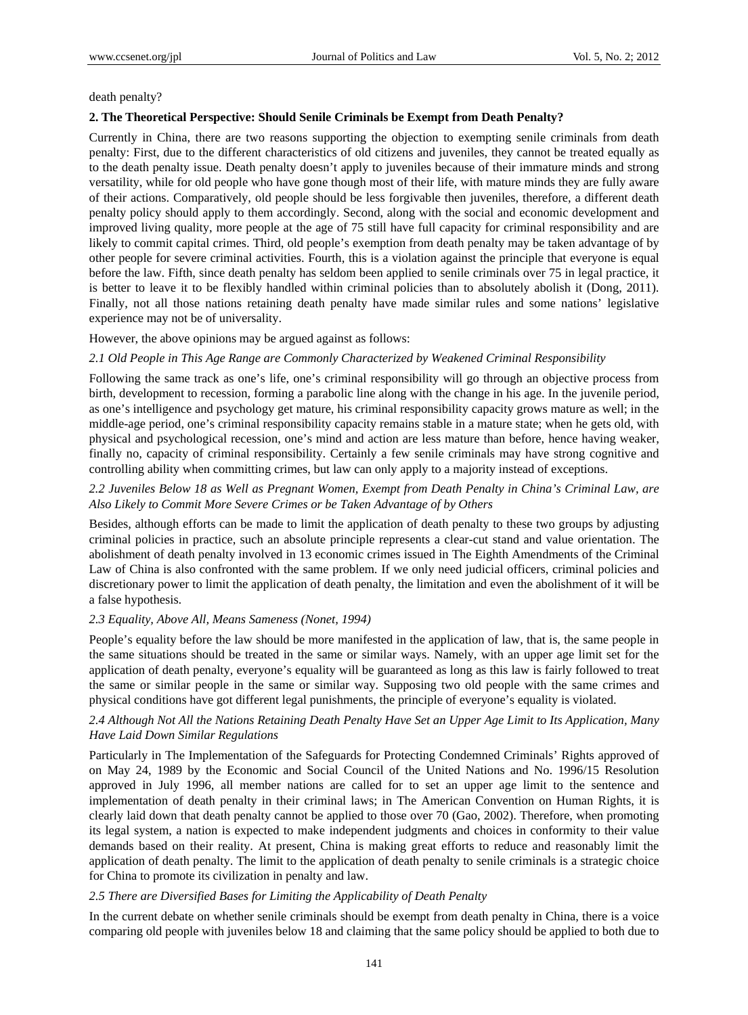## death penalty?

## **2. The Theoretical Perspective: Should Senile Criminals be Exempt from Death Penalty?**

Currently in China, there are two reasons supporting the objection to exempting senile criminals from death penalty: First, due to the different characteristics of old citizens and juveniles, they cannot be treated equally as to the death penalty issue. Death penalty doesn't apply to juveniles because of their immature minds and strong versatility, while for old people who have gone though most of their life, with mature minds they are fully aware of their actions. Comparatively, old people should be less forgivable then juveniles, therefore, a different death penalty policy should apply to them accordingly. Second, along with the social and economic development and improved living quality, more people at the age of 75 still have full capacity for criminal responsibility and are likely to commit capital crimes. Third, old people's exemption from death penalty may be taken advantage of by other people for severe criminal activities. Fourth, this is a violation against the principle that everyone is equal before the law. Fifth, since death penalty has seldom been applied to senile criminals over 75 in legal practice, it is better to leave it to be flexibly handled within criminal policies than to absolutely abolish it (Dong, 2011). Finally, not all those nations retaining death penalty have made similar rules and some nations' legislative experience may not be of universality.

## However, the above opinions may be argued against as follows:

## *2.1 Old People in This Age Range are Commonly Characterized by Weakened Criminal Responsibility*

Following the same track as one's life, one's criminal responsibility will go through an objective process from birth, development to recession, forming a parabolic line along with the change in his age. In the juvenile period, as one's intelligence and psychology get mature, his criminal responsibility capacity grows mature as well; in the middle-age period, one's criminal responsibility capacity remains stable in a mature state; when he gets old, with physical and psychological recession, one's mind and action are less mature than before, hence having weaker, finally no, capacity of criminal responsibility. Certainly a few senile criminals may have strong cognitive and controlling ability when committing crimes, but law can only apply to a majority instead of exceptions.

# *2.2 Juveniles Below 18 as Well as Pregnant Women, Exempt from Death Penalty in China's Criminal Law, are Also Likely to Commit More Severe Crimes or be Taken Advantage of by Others*

Besides, although efforts can be made to limit the application of death penalty to these two groups by adjusting criminal policies in practice, such an absolute principle represents a clear-cut stand and value orientation. The abolishment of death penalty involved in 13 economic crimes issued in The Eighth Amendments of the Criminal Law of China is also confronted with the same problem. If we only need judicial officers, criminal policies and discretionary power to limit the application of death penalty, the limitation and even the abolishment of it will be a false hypothesis.

#### *2.3 Equality, Above All, Means Sameness (Nonet, 1994)*

People's equality before the law should be more manifested in the application of law, that is, the same people in the same situations should be treated in the same or similar ways. Namely, with an upper age limit set for the application of death penalty, everyone's equality will be guaranteed as long as this law is fairly followed to treat the same or similar people in the same or similar way. Supposing two old people with the same crimes and physical conditions have got different legal punishments, the principle of everyone's equality is violated.

# *2.4 Although Not All the Nations Retaining Death Penalty Have Set an Upper Age Limit to Its Application, Many Have Laid Down Similar Regulations*

Particularly in The Implementation of the Safeguards for Protecting Condemned Criminals' Rights approved of on May 24, 1989 by the Economic and Social Council of the United Nations and No. 1996/15 Resolution approved in July 1996, all member nations are called for to set an upper age limit to the sentence and implementation of death penalty in their criminal laws; in The American Convention on Human Rights, it is clearly laid down that death penalty cannot be applied to those over 70 (Gao, 2002). Therefore, when promoting its legal system, a nation is expected to make independent judgments and choices in conformity to their value demands based on their reality. At present, China is making great efforts to reduce and reasonably limit the application of death penalty. The limit to the application of death penalty to senile criminals is a strategic choice for China to promote its civilization in penalty and law.

#### *2.5 There are Diversified Bases for Limiting the Applicability of Death Penalty*

In the current debate on whether senile criminals should be exempt from death penalty in China, there is a voice comparing old people with juveniles below 18 and claiming that the same policy should be applied to both due to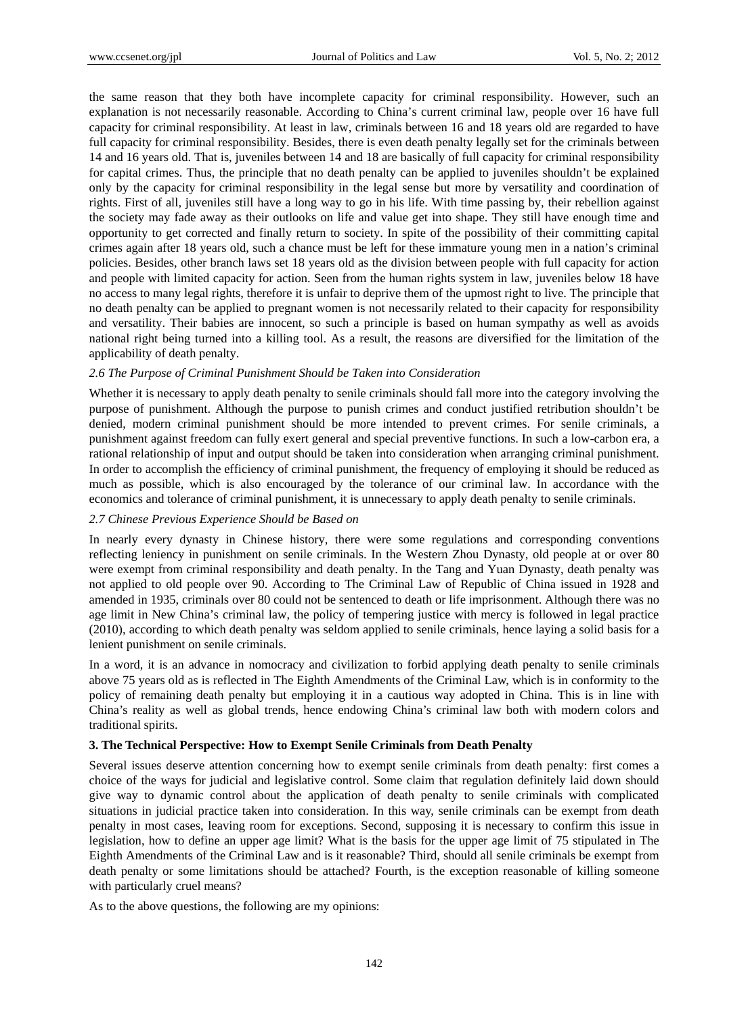the same reason that they both have incomplete capacity for criminal responsibility. However, such an explanation is not necessarily reasonable. According to China's current criminal law, people over 16 have full capacity for criminal responsibility. At least in law, criminals between 16 and 18 years old are regarded to have full capacity for criminal responsibility. Besides, there is even death penalty legally set for the criminals between 14 and 16 years old. That is, juveniles between 14 and 18 are basically of full capacity for criminal responsibility for capital crimes. Thus, the principle that no death penalty can be applied to juveniles shouldn't be explained only by the capacity for criminal responsibility in the legal sense but more by versatility and coordination of rights. First of all, juveniles still have a long way to go in his life. With time passing by, their rebellion against the society may fade away as their outlooks on life and value get into shape. They still have enough time and opportunity to get corrected and finally return to society. In spite of the possibility of their committing capital crimes again after 18 years old, such a chance must be left for these immature young men in a nation's criminal policies. Besides, other branch laws set 18 years old as the division between people with full capacity for action and people with limited capacity for action. Seen from the human rights system in law, juveniles below 18 have no access to many legal rights, therefore it is unfair to deprive them of the upmost right to live. The principle that no death penalty can be applied to pregnant women is not necessarily related to their capacity for responsibility and versatility. Their babies are innocent, so such a principle is based on human sympathy as well as avoids national right being turned into a killing tool. As a result, the reasons are diversified for the limitation of the applicability of death penalty.

## *2.6 The Purpose of Criminal Punishment Should be Taken into Consideration*

Whether it is necessary to apply death penalty to senile criminals should fall more into the category involving the purpose of punishment. Although the purpose to punish crimes and conduct justified retribution shouldn't be denied, modern criminal punishment should be more intended to prevent crimes. For senile criminals, a punishment against freedom can fully exert general and special preventive functions. In such a low-carbon era, a rational relationship of input and output should be taken into consideration when arranging criminal punishment. In order to accomplish the efficiency of criminal punishment, the frequency of employing it should be reduced as much as possible, which is also encouraged by the tolerance of our criminal law. In accordance with the economics and tolerance of criminal punishment, it is unnecessary to apply death penalty to senile criminals.

## *2.7 Chinese Previous Experience Should be Based on*

In nearly every dynasty in Chinese history, there were some regulations and corresponding conventions reflecting leniency in punishment on senile criminals. In the Western Zhou Dynasty, old people at or over 80 were exempt from criminal responsibility and death penalty. In the Tang and Yuan Dynasty, death penalty was not applied to old people over 90. According to The Criminal Law of Republic of China issued in 1928 and amended in 1935, criminals over 80 could not be sentenced to death or life imprisonment. Although there was no age limit in New China's criminal law, the policy of tempering justice with mercy is followed in legal practice (2010), according to which death penalty was seldom applied to senile criminals, hence laying a solid basis for a lenient punishment on senile criminals.

In a word, it is an advance in nomocracy and civilization to forbid applying death penalty to senile criminals above 75 years old as is reflected in The Eighth Amendments of the Criminal Law, which is in conformity to the policy of remaining death penalty but employing it in a cautious way adopted in China. This is in line with China's reality as well as global trends, hence endowing China's criminal law both with modern colors and traditional spirits.

### **3. The Technical Perspective: How to Exempt Senile Criminals from Death Penalty**

Several issues deserve attention concerning how to exempt senile criminals from death penalty: first comes a choice of the ways for judicial and legislative control. Some claim that regulation definitely laid down should give way to dynamic control about the application of death penalty to senile criminals with complicated situations in judicial practice taken into consideration. In this way, senile criminals can be exempt from death penalty in most cases, leaving room for exceptions. Second, supposing it is necessary to confirm this issue in legislation, how to define an upper age limit? What is the basis for the upper age limit of 75 stipulated in The Eighth Amendments of the Criminal Law and is it reasonable? Third, should all senile criminals be exempt from death penalty or some limitations should be attached? Fourth, is the exception reasonable of killing someone with particularly cruel means?

As to the above questions, the following are my opinions: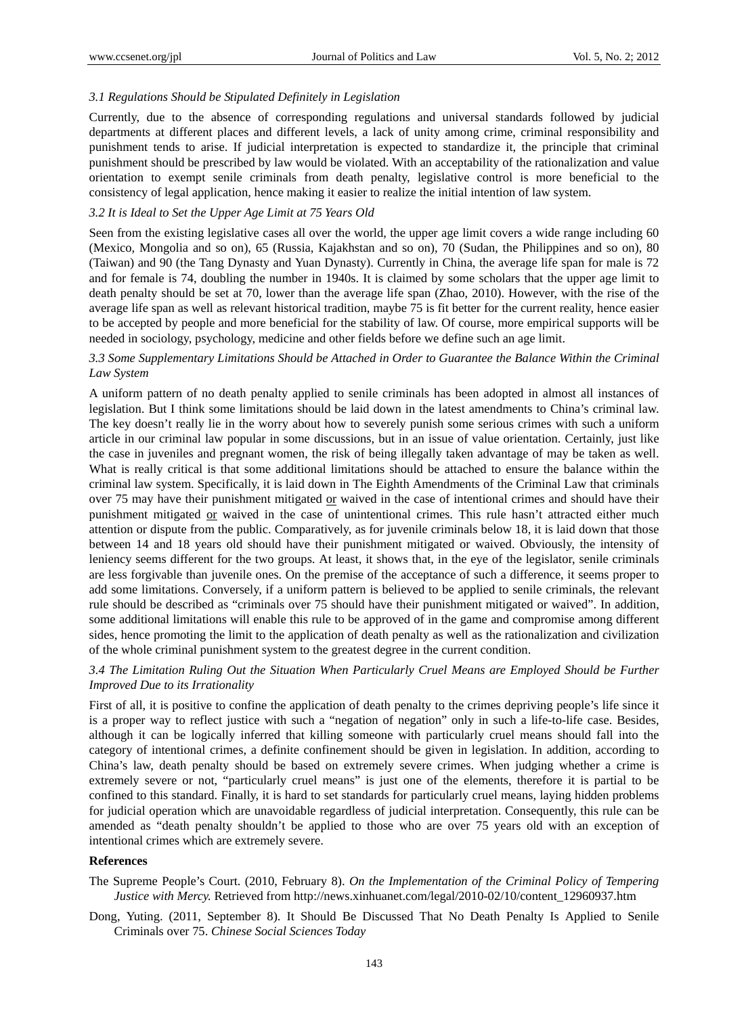### *3.1 Regulations Should be Stipulated Definitely in Legislation*

Currently, due to the absence of corresponding regulations and universal standards followed by judicial departments at different places and different levels, a lack of unity among crime, criminal responsibility and punishment tends to arise. If judicial interpretation is expected to standardize it, the principle that criminal punishment should be prescribed by law would be violated. With an acceptability of the rationalization and value orientation to exempt senile criminals from death penalty, legislative control is more beneficial to the consistency of legal application, hence making it easier to realize the initial intention of law system.

## *3.2 It is Ideal to Set the Upper Age Limit at 75 Years Old*

Seen from the existing legislative cases all over the world, the upper age limit covers a wide range including 60 (Mexico, Mongolia and so on), 65 (Russia, Kajakhstan and so on), 70 (Sudan, the Philippines and so on), 80 (Taiwan) and 90 (the Tang Dynasty and Yuan Dynasty). Currently in China, the average life span for male is 72 and for female is 74, doubling the number in 1940s. It is claimed by some scholars that the upper age limit to death penalty should be set at 70, lower than the average life span (Zhao, 2010). However, with the rise of the average life span as well as relevant historical tradition, maybe 75 is fit better for the current reality, hence easier to be accepted by people and more beneficial for the stability of law. Of course, more empirical supports will be needed in sociology, psychology, medicine and other fields before we define such an age limit.

# *3.3 Some Supplementary Limitations Should be Attached in Order to Guarantee the Balance Within the Criminal Law System*

A uniform pattern of no death penalty applied to senile criminals has been adopted in almost all instances of legislation. But I think some limitations should be laid down in the latest amendments to China's criminal law. The key doesn't really lie in the worry about how to severely punish some serious crimes with such a uniform article in our criminal law popular in some discussions, but in an issue of value orientation. Certainly, just like the case in juveniles and pregnant women, the risk of being illegally taken advantage of may be taken as well. What is really critical is that some additional limitations should be attached to ensure the balance within the criminal law system. Specifically, it is laid down in The Eighth Amendments of the Criminal Law that criminals over 75 may have their punishment mitigated or waived in the case of intentional crimes and should have their punishment mitigated or waived in the case of unintentional crimes. This rule hasn't attracted either much attention or dispute from the public. Comparatively, as for juvenile criminals below 18, it is laid down that those between 14 and 18 years old should have their punishment mitigated or waived. Obviously, the intensity of leniency seems different for the two groups. At least, it shows that, in the eye of the legislator, senile criminals are less forgivable than juvenile ones. On the premise of the acceptance of such a difference, it seems proper to add some limitations. Conversely, if a uniform pattern is believed to be applied to senile criminals, the relevant rule should be described as "criminals over 75 should have their punishment mitigated or waived". In addition, some additional limitations will enable this rule to be approved of in the game and compromise among different sides, hence promoting the limit to the application of death penalty as well as the rationalization and civilization of the whole criminal punishment system to the greatest degree in the current condition.

# *3.4 The Limitation Ruling Out the Situation When Particularly Cruel Means are Employed Should be Further Improved Due to its Irrationality*

First of all, it is positive to confine the application of death penalty to the crimes depriving people's life since it is a proper way to reflect justice with such a "negation of negation" only in such a life-to-life case. Besides, although it can be logically inferred that killing someone with particularly cruel means should fall into the category of intentional crimes, a definite confinement should be given in legislation. In addition, according to China's law, death penalty should be based on extremely severe crimes. When judging whether a crime is extremely severe or not, "particularly cruel means" is just one of the elements, therefore it is partial to be confined to this standard. Finally, it is hard to set standards for particularly cruel means, laying hidden problems for judicial operation which are unavoidable regardless of judicial interpretation. Consequently, this rule can be amended as "death penalty shouldn't be applied to those who are over 75 years old with an exception of intentional crimes which are extremely severe.

#### **References**

- The Supreme People's Court. (2010, February 8). *On the Implementation of the Criminal Policy of Tempering Justice with Mercy.* Retrieved from http://news.xinhuanet.com/legal/2010-02/10/content\_12960937.htm
- Dong, Yuting. (2011, September 8). It Should Be Discussed That No Death Penalty Is Applied to Senile Criminals over 75. *Chinese Social Sciences Today*